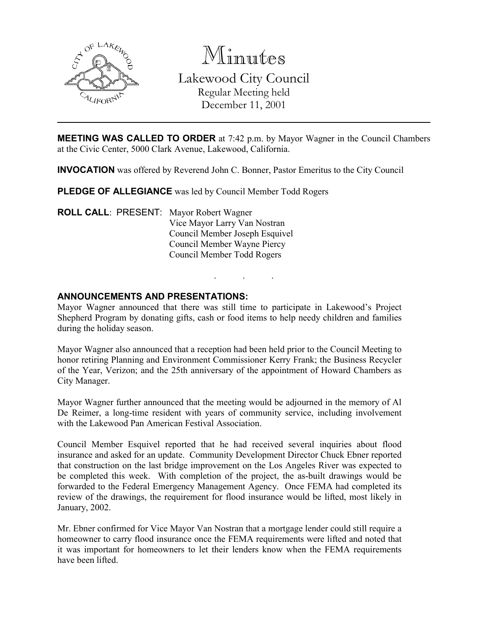

Minutes Lakewood City Council Regular Meeting held December 11, 2001

**MEETING WAS CALLED TO ORDER** at 7:42 p.m. by Mayor Wagner in the Council Chambers at the Civic Center, 5000 Clark Avenue, Lakewood, California.

INVOCATION was offered by Reverend John C. Bonner, Pastor Emeritus to the City Council

PLEDGE OF ALLEGIANCE was led by Council Member Todd Rogers

ROLL CALL: PRESENT: Mayor Robert Wagner Vice Mayor Larry Van Nostran Council Member Joseph Esquivel Council Member Wayne Piercy Council Member Todd Rogers

### ANNOUNCEMENTS AND PRESENTATIONS:

Mayor Wagner announced that there was still time to participate in Lakewood's Project Shepherd Program by donating gifts, cash or food items to help needy children and families during the holiday season.

. . .

Mayor Wagner also announced that a reception had been held prior to the Council Meeting to honor retiring Planning and Environment Commissioner Kerry Frank; the Business Recycler of the Year, Verizon; and the 25th anniversary of the appointment of Howard Chambers as City Manager.

Mayor Wagner further announced that the meeting would be adjourned in the memory of Al De Reimer, a long-time resident with years of community service, including involvement with the Lakewood Pan American Festival Association.

Council Member Esquivel reported that he had received several inquiries about flood insurance and asked for an update. Community Development Director Chuck Ebner reported that construction on the last bridge improvement on the Los Angeles River was expected to be completed this week. With completion of the project, the as-built drawings would be forwarded to the Federal Emergency Management Agency. Once FEMA had completed its review of the drawings, the requirement for flood insurance would be lifted, most likely in January, 2002.

Mr. Ebner confirmed for Vice Mayor Van Nostran that a mortgage lender could still require a homeowner to carry flood insurance once the FEMA requirements were lifted and noted that it was important for homeowners to let their lenders know when the FEMA requirements have been lifted.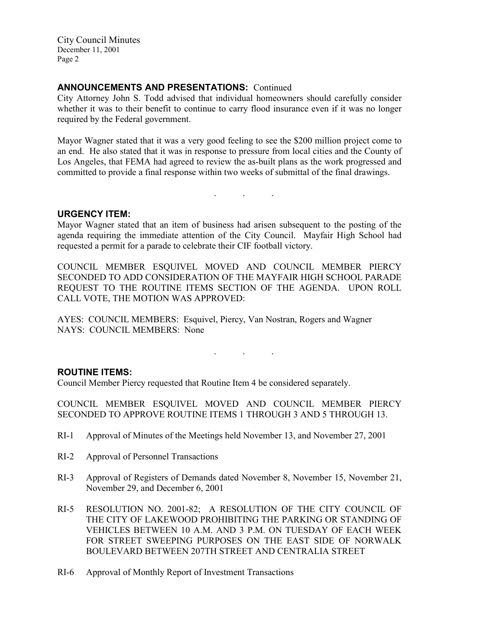## ANNOUNCEMENTS AND PRESENTATIONS: Continued

City Attorney John S. Todd advised that individual homeowners should carefully consider whether it was to their benefit to continue to carry flood insurance even if it was no longer required by the Federal government.

Mayor Wagner stated that it was a very good feeling to see the \$200 million project come to an end. He also stated that it was in response to pressure from local cities and the County of Los Angeles, that FEMA had agreed to review the as-built plans as the work progressed and committed to provide a final response within two weeks of submittal of the final drawings.

. . .

### URGENCY ITEM:

Mayor Wagner stated that an item of business had arisen subsequent to the posting of the agenda requiring the immediate attention of the City Council. Mayfair High School had requested a permit for a parade to celebrate their CIF football victory.

COUNCIL MEMBER ESQUIVEL MOVED AND COUNCIL MEMBER PIERCY SECONDED TO ADD CONSIDERATION OF THE MAYFAIR HIGH SCHOOL PARADE REQUEST TO THE ROUTINE ITEMS SECTION OF THE AGENDA. UPON ROLL CALL VOTE, THE MOTION WAS APPROVED:

AYES: COUNCIL MEMBERS: Esquivel, Piercy, Van Nostran, Rogers and Wagner NAYS: COUNCIL MEMBERS: None

### ROUTINE ITEMS:

Council Member Piercy requested that Routine Item 4 be considered separately.

COUNCIL MEMBER ESQUIVEL MOVED AND COUNCIL MEMBER PIERCY SECONDED TO APPROVE ROUTINE ITEMS 1 THROUGH 3 AND 5 THROUGH 13.

. . .

- RI-1 Approval of Minutes of the Meetings held November 13, and November 27, 2001
- RI-2 Approval of Personnel Transactions
- RI-3 Approval of Registers of Demands dated November 8, November 15, November 21, November 29, and December 6, 2001
- RI-5 RESOLUTION NO. 2001-82; A RESOLUTION OF THE CITY COUNCIL OF THE CITY OF LAKEWOOD PROHIBITING THE PARKING OR STANDING OF VEHICLES BETWEEN 10 A.M. AND 3 P.M. ON TUESDAY OF EACH WEEK FOR STREET SWEEPING PURPOSES ON THE EAST SIDE OF NORWALK BOULEVARD BETWEEN 207TH STREET AND CENTRALIA STREET
- RI-6 Approval of Monthly Report of Investment Transactions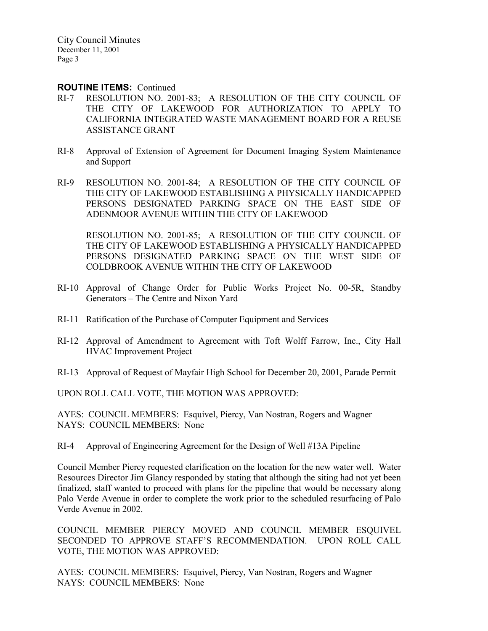#### ROUTINE ITEMS: Continued

- RI-7 RESOLUTION NO. 2001-83; A RESOLUTION OF THE CITY COUNCIL OF THE CITY OF LAKEWOOD FOR AUTHORIZATION TO APPLY TO CALIFORNIA INTEGRATED WASTE MANAGEMENT BOARD FOR A REUSE ASSISTANCE GRANT
- RI-8 Approval of Extension of Agreement for Document Imaging System Maintenance and Support
- RI-9 RESOLUTION NO. 2001-84; A RESOLUTION OF THE CITY COUNCIL OF THE CITY OF LAKEWOOD ESTABLISHING A PHYSICALLY HANDICAPPED PERSONS DESIGNATED PARKING SPACE ON THE EAST SIDE OF ADENMOOR AVENUE WITHIN THE CITY OF LAKEWOOD

RESOLUTION NO. 2001-85; A RESOLUTION OF THE CITY COUNCIL OF THE CITY OF LAKEWOOD ESTABLISHING A PHYSICALLY HANDICAPPED PERSONS DESIGNATED PARKING SPACE ON THE WEST SIDE OF COLDBROOK AVENUE WITHIN THE CITY OF LAKEWOOD

- RI-10 Approval of Change Order for Public Works Project No. 00-5R, Standby Generators – The Centre and Nixon Yard
- RI-11 Ratification of the Purchase of Computer Equipment and Services
- RI-12 Approval of Amendment to Agreement with Toft Wolff Farrow, Inc., City Hall HVAC Improvement Project
- RI-13 Approval of Request of Mayfair High School for December 20, 2001, Parade Permit

UPON ROLL CALL VOTE, THE MOTION WAS APPROVED:

AYES: COUNCIL MEMBERS: Esquivel, Piercy, Van Nostran, Rogers and Wagner NAYS: COUNCIL MEMBERS: None

RI-4 Approval of Engineering Agreement for the Design of Well #13A Pipeline

Council Member Piercy requested clarification on the location for the new water well. Water Resources Director Jim Glancy responded by stating that although the siting had not yet been finalized, staff wanted to proceed with plans for the pipeline that would be necessary along Palo Verde Avenue in order to complete the work prior to the scheduled resurfacing of Palo Verde Avenue in 2002.

COUNCIL MEMBER PIERCY MOVED AND COUNCIL MEMBER ESQUIVEL SECONDED TO APPROVE STAFF'S RECOMMENDATION. UPON ROLL CALL VOTE, THE MOTION WAS APPROVED:

AYES: COUNCIL MEMBERS: Esquivel, Piercy, Van Nostran, Rogers and Wagner NAYS: COUNCIL MEMBERS: None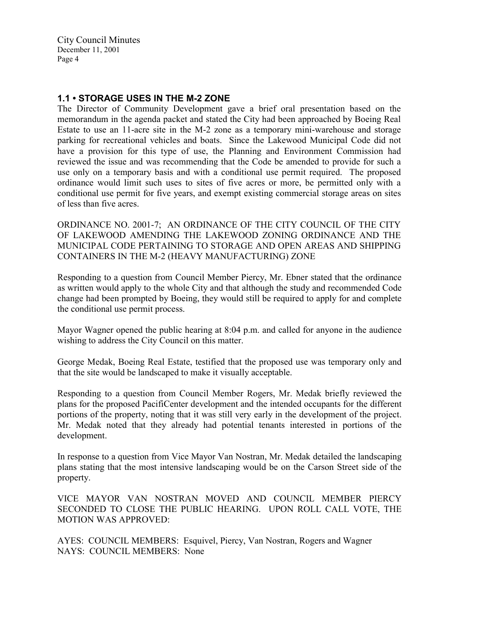## 1.1 • STORAGE USES IN THE M-2 ZONE

The Director of Community Development gave a brief oral presentation based on the memorandum in the agenda packet and stated the City had been approached by Boeing Real Estate to use an 11-acre site in the M-2 zone as a temporary mini-warehouse and storage parking for recreational vehicles and boats. Since the Lakewood Municipal Code did not have a provision for this type of use, the Planning and Environment Commission had reviewed the issue and was recommending that the Code be amended to provide for such a use only on a temporary basis and with a conditional use permit required. The proposed ordinance would limit such uses to sites of five acres or more, be permitted only with a conditional use permit for five years, and exempt existing commercial storage areas on sites of less than five acres.

ORDINANCE NO. 2001-7; AN ORDINANCE OF THE CITY COUNCIL OF THE CITY OF LAKEWOOD AMENDING THE LAKEWOOD ZONING ORDINANCE AND THE MUNICIPAL CODE PERTAINING TO STORAGE AND OPEN AREAS AND SHIPPING CONTAINERS IN THE M-2 (HEAVY MANUFACTURING) ZONE

Responding to a question from Council Member Piercy, Mr. Ebner stated that the ordinance as written would apply to the whole City and that although the study and recommended Code change had been prompted by Boeing, they would still be required to apply for and complete the conditional use permit process.

Mayor Wagner opened the public hearing at 8:04 p.m. and called for anyone in the audience wishing to address the City Council on this matter.

George Medak, Boeing Real Estate, testified that the proposed use was temporary only and that the site would be landscaped to make it visually acceptable.

Responding to a question from Council Member Rogers, Mr. Medak briefly reviewed the plans for the proposed PacifiCenter development and the intended occupants for the different portions of the property, noting that it was still very early in the development of the project. Mr. Medak noted that they already had potential tenants interested in portions of the development.

In response to a question from Vice Mayor Van Nostran, Mr. Medak detailed the landscaping plans stating that the most intensive landscaping would be on the Carson Street side of the property.

VICE MAYOR VAN NOSTRAN MOVED AND COUNCIL MEMBER PIERCY SECONDED TO CLOSE THE PUBLIC HEARING. UPON ROLL CALL VOTE, THE MOTION WAS APPROVED:

AYES: COUNCIL MEMBERS: Esquivel, Piercy, Van Nostran, Rogers and Wagner NAYS: COUNCIL MEMBERS: None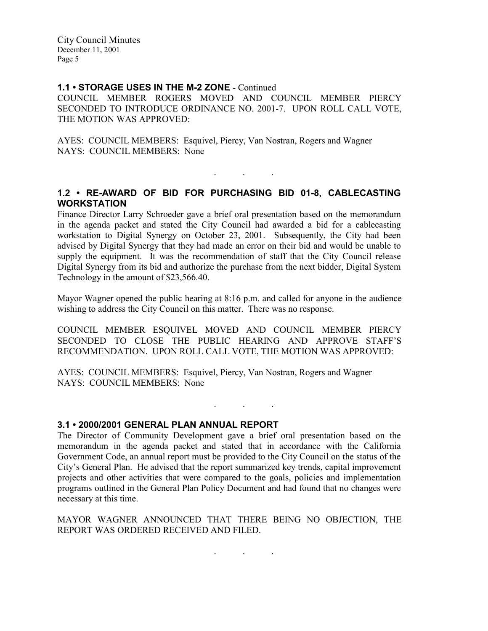#### 1.1 • STORAGE USES IN THE M-2 ZONE - Continued

COUNCIL MEMBER ROGERS MOVED AND COUNCIL MEMBER PIERCY SECONDED TO INTRODUCE ORDINANCE NO. 2001-7. UPON ROLL CALL VOTE, THE MOTION WAS APPROVED:

AYES: COUNCIL MEMBERS: Esquivel, Piercy, Van Nostran, Rogers and Wagner NAYS: COUNCIL MEMBERS: None

## 1.2 • RE-AWARD OF BID FOR PURCHASING BID 01-8, CABLECASTING **WORKSTATION**

. . .

Finance Director Larry Schroeder gave a brief oral presentation based on the memorandum in the agenda packet and stated the City Council had awarded a bid for a cablecasting workstation to Digital Synergy on October 23, 2001. Subsequently, the City had been advised by Digital Synergy that they had made an error on their bid and would be unable to supply the equipment. It was the recommendation of staff that the City Council release Digital Synergy from its bid and authorize the purchase from the next bidder, Digital System Technology in the amount of \$23,566.40.

Mayor Wagner opened the public hearing at 8:16 p.m. and called for anyone in the audience wishing to address the City Council on this matter. There was no response.

COUNCIL MEMBER ESQUIVEL MOVED AND COUNCIL MEMBER PIERCY SECONDED TO CLOSE THE PUBLIC HEARING AND APPROVE STAFF'S RECOMMENDATION. UPON ROLL CALL VOTE, THE MOTION WAS APPROVED:

AYES: COUNCIL MEMBERS: Esquivel, Piercy, Van Nostran, Rogers and Wagner NAYS: COUNCIL MEMBERS: None

3.1 • 2000/2001 GENERAL PLAN ANNUAL REPORT

The Director of Community Development gave a brief oral presentation based on the memorandum in the agenda packet and stated that in accordance with the California Government Code, an annual report must be provided to the City Council on the status of the City's General Plan. He advised that the report summarized key trends, capital improvement projects and other activities that were compared to the goals, policies and implementation programs outlined in the General Plan Policy Document and had found that no changes were necessary at this time.

. . .

MAYOR WAGNER ANNOUNCED THAT THERE BEING NO OBJECTION, THE REPORT WAS ORDERED RECEIVED AND FILED.

. . .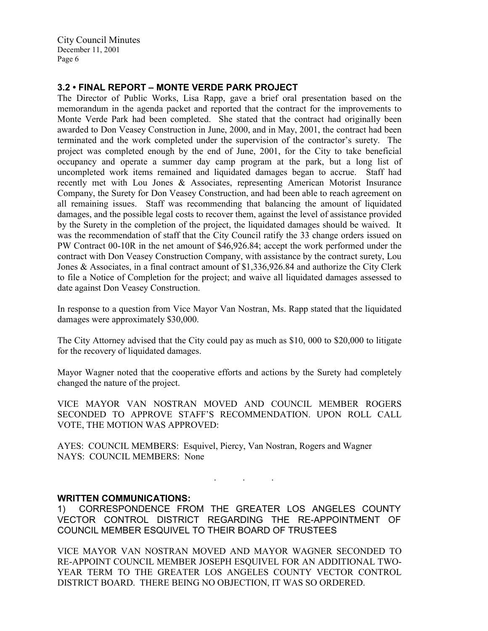# 3.2 • FINAL REPORT – MONTE VERDE PARK PROJECT

The Director of Public Works, Lisa Rapp, gave a brief oral presentation based on the memorandum in the agenda packet and reported that the contract for the improvements to Monte Verde Park had been completed. She stated that the contract had originally been awarded to Don Veasey Construction in June, 2000, and in May, 2001, the contract had been terminated and the work completed under the supervision of the contractor's surety. The project was completed enough by the end of June, 2001, for the City to take beneficial occupancy and operate a summer day camp program at the park, but a long list of uncompleted work items remained and liquidated damages began to accrue. Staff had recently met with Lou Jones & Associates, representing American Motorist Insurance Company, the Surety for Don Veasey Construction, and had been able to reach agreement on all remaining issues. Staff was recommending that balancing the amount of liquidated damages, and the possible legal costs to recover them, against the level of assistance provided by the Surety in the completion of the project, the liquidated damages should be waived. It was the recommendation of staff that the City Council ratify the 33 change orders issued on PW Contract 00-10R in the net amount of \$46,926.84; accept the work performed under the contract with Don Veasey Construction Company, with assistance by the contract surety, Lou Jones & Associates, in a final contract amount of \$1,336,926.84 and authorize the City Clerk to file a Notice of Completion for the project; and waive all liquidated damages assessed to date against Don Veasey Construction.

In response to a question from Vice Mayor Van Nostran, Ms. Rapp stated that the liquidated damages were approximately \$30,000.

The City Attorney advised that the City could pay as much as \$10, 000 to \$20,000 to litigate for the recovery of liquidated damages.

Mayor Wagner noted that the cooperative efforts and actions by the Surety had completely changed the nature of the project.

VICE MAYOR VAN NOSTRAN MOVED AND COUNCIL MEMBER ROGERS SECONDED TO APPROVE STAFF'S RECOMMENDATION. UPON ROLL CALL VOTE, THE MOTION WAS APPROVED:

AYES: COUNCIL MEMBERS: Esquivel, Piercy, Van Nostran, Rogers and Wagner NAYS: COUNCIL MEMBERS: None

#### WRITTEN COMMUNICATIONS:

1) CORRESPONDENCE FROM THE GREATER LOS ANGELES COUNTY VECTOR CONTROL DISTRICT REGARDING THE RE-APPOINTMENT OF COUNCIL MEMBER ESQUIVEL TO THEIR BOARD OF TRUSTEES

. . .

VICE MAYOR VAN NOSTRAN MOVED AND MAYOR WAGNER SECONDED TO RE-APPOINT COUNCIL MEMBER JOSEPH ESQUIVEL FOR AN ADDITIONAL TWO-YEAR TERM TO THE GREATER LOS ANGELES COUNTY VECTOR CONTROL DISTRICT BOARD. THERE BEING NO OBJECTION, IT WAS SO ORDERED.